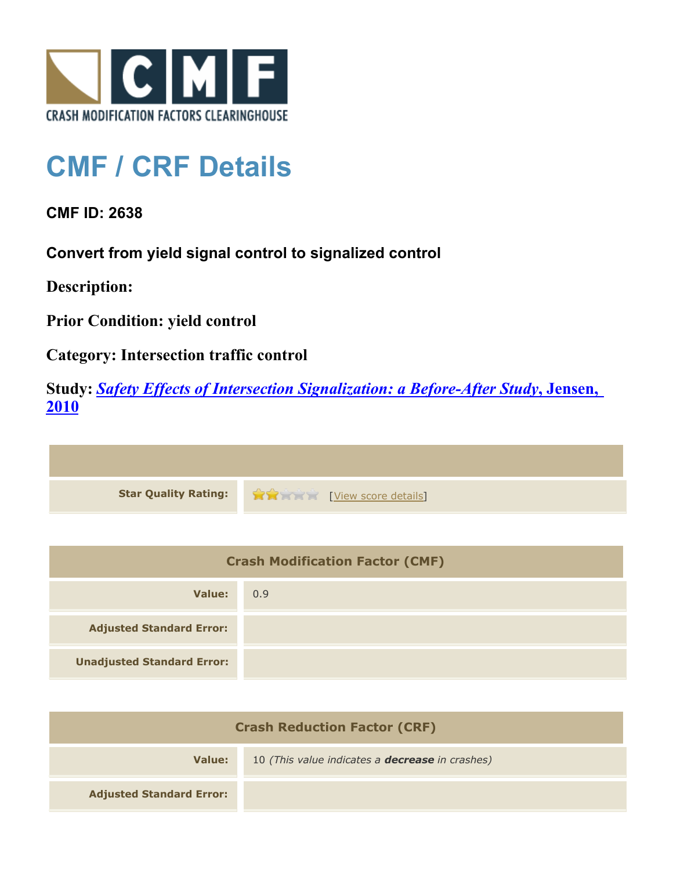

## **CMF / CRF Details**

**CMF ID: 2638**

**Convert from yield signal control to signalized control**

**Description:** 

**Prior Condition: yield control**

**Category: Intersection traffic control**

**Study:** *[Safety Effects of Intersection Signalization: a Before-After Study](http://www.cmfclearinghouse.org/study_detail.cfm?stid=170)***[, Jensen,](http://www.cmfclearinghouse.org/study_detail.cfm?stid=170) [2010](http://www.cmfclearinghouse.org/study_detail.cfm?stid=170)**



| <b>Crash Modification Factor (CMF)</b> |     |
|----------------------------------------|-----|
| Value:                                 | 0.9 |
| <b>Adjusted Standard Error:</b>        |     |
| <b>Unadjusted Standard Error:</b>      |     |

| <b>Crash Reduction Factor (CRF)</b> |                                                        |
|-------------------------------------|--------------------------------------------------------|
| Value:                              | 10 (This value indicates a <b>decrease</b> in crashes) |
| <b>Adjusted Standard Error:</b>     |                                                        |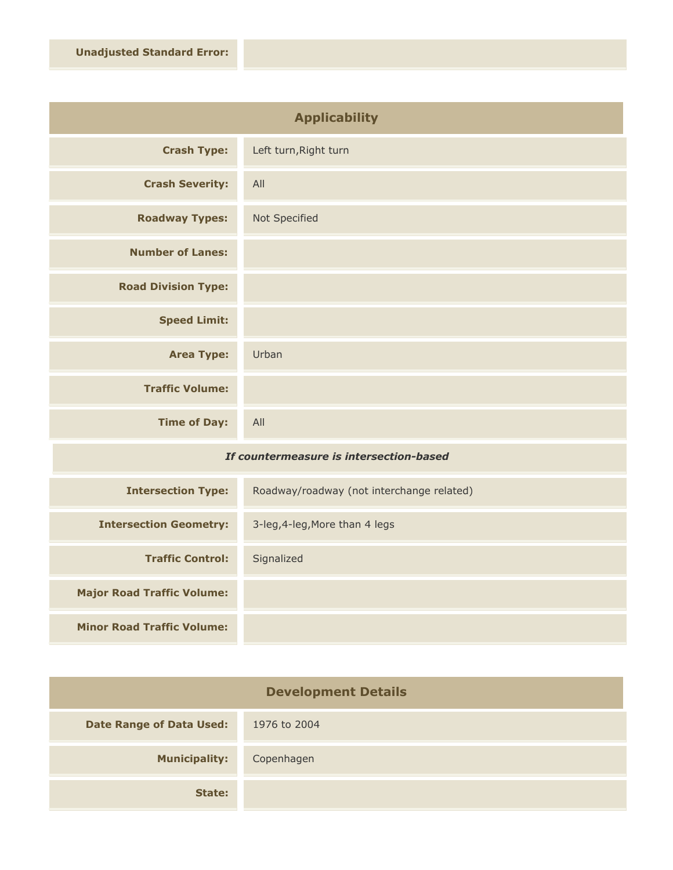| <b>Applicability</b>       |                       |
|----------------------------|-----------------------|
| <b>Crash Type:</b>         | Left turn, Right turn |
| <b>Crash Severity:</b>     | All                   |
| <b>Roadway Types:</b>      | Not Specified         |
| <b>Number of Lanes:</b>    |                       |
| <b>Road Division Type:</b> |                       |
| <b>Speed Limit:</b>        |                       |
| <b>Area Type:</b>          | Urban                 |
| <b>Traffic Volume:</b>     |                       |
| <b>Time of Day:</b>        | All                   |

## *If countermeasure is intersection-based*

| <b>Intersection Type:</b>         | Roadway/roadway (not interchange related) |
|-----------------------------------|-------------------------------------------|
| <b>Intersection Geometry:</b>     | 3-leg, 4-leg, More than 4 legs            |
| <b>Traffic Control:</b>           | Signalized                                |
| <b>Major Road Traffic Volume:</b> |                                           |
| <b>Minor Road Traffic Volume:</b> |                                           |

| <b>Development Details</b>      |              |
|---------------------------------|--------------|
| <b>Date Range of Data Used:</b> | 1976 to 2004 |
| <b>Municipality:</b>            | Copenhagen   |
| State:                          |              |